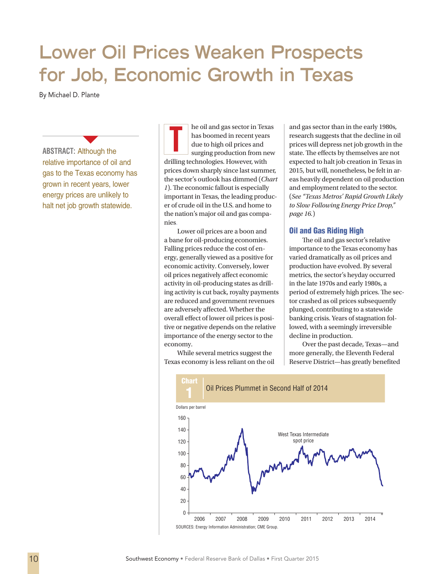# **Lower Oil Prices Weaken Prospects for Job, Economic Growth in Texas**

By Michael D. Plante

**ABSTRACT:** Although the relative importance of oil and gas to the Texas economy has grown in recent years, lower energy prices are unlikely to halt net job growth statewide.

**1999** 

he oil and gas sector in Texas has boomed in recent years due to high oil prices and surging production from new drilling technologies. However, with prices down sharply since last summer, the sector's outlook has dimmed (*Chart 1*). The economic fallout is especially important in Texas, the leading producer of crude oil in the U.S. and home to the nation's major oil and gas companies. The oil and gas sector in Texas has boomed in recent years<br>due to high oil prices and surging production from new state. The effects by themselves are not<br>state.

Lower oil prices are a boon and a bane for oil-producing economies. Falling prices reduce the cost of energy, generally viewed as a positive for economic activity. Conversely, lower oil prices negatively affect economic activity in oil-producing states as drilling activity is cut back, royalty payments are reduced and government revenues are adversely affected. Whether the overall effect of lower oil prices is positive or negative depends on the relative importance of the energy sector to the economy.

While several metrics suggest the Texas economy is less reliant on the oil

research suggests that the decline in oil prices will depress net job growth in the state. The effects by themselves are not expected to halt job creation in Texas in 2015, but will, nonetheless, be felt in areas heavily dependent on oil production and employment related to the sector. (*See "Texas Metros' Rapid Growth Likely t[o Slow Following Energy Price Drop,"](swe1501g.pdf)  page 16.*)

# Oil and Gas Riding High

The oil and gas sector's relative importance to the Texas economy has varied dramatically as oil prices and production have evolved. By several metrics, the sector's heyday occurred in the late 1970s and early 1980s, a period of extremely high prices. The sector crashed as oil prices subsequently plunged, contributing to a statewide banking crisis. Years of stagnation followed, with a seemingly irreversible decline in production.

Over the past decade, Texas—and more generally, the Eleventh Federal Reserve District—has greatly benefited

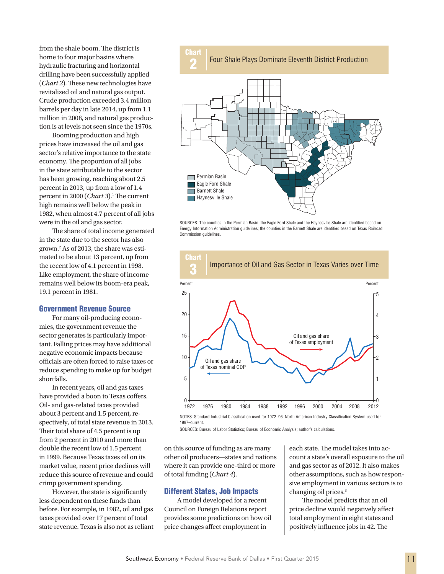from the shale boom. The district is home to four major basins where hydraulic fracturing and horizontal drilling have been successfully applied (*Chart 2*). These new technologies have revitalized oil and natural gas output. Crude production exceeded 3.4 million barrels per day in late 2014, up from 1.1 million in 2008, and natural gas production is at levels not seen since the 1970s.

Booming production and high prices have increased the oil and gas sector's relative importance to the state economy. The proportion of all jobs in the state attributable to the sector has been growing, reaching about 2.5 percent in 2013, up from a low of 1.4 percent in 2000 (*Chart 3*).<sup>1</sup> The current high remains well below the peak in 1982, when almost 4.7 percent of all jobs were in the oil and gas sector.

The share of total income generated in the state due to the sector has also grown.2 As of 2013, the share was estimated to be about 13 percent, up from the recent low of 4.1 percent in 1998. Like employment, the share of income remains well below its boom-era peak, 19.1 percent in 1981.

#### Government Revenue Source

For many oil-producing economies, the government revenue the sector generates is particularly important. Falling prices may have additional negative economic impacts because officials are often forced to raise taxes or reduce spending to make up for budget shortfalls.

In recent years, oil and gas taxes have provided a boon to Texas coffers. Oil- and gas-related taxes provided about 3 percent and 1.5 percent, respectively, of total state revenue in 2013. Their total share of 4.5 percent is up from 2 percent in 2010 and more than double the recent low of 1.5 percent in 1999. Because Texas taxes oil on its market value, recent price declines will reduce this source of revenue and could crimp government spending.

However, the state is significantly less dependent on these funds than before. For example, in 1982, oil and gas taxes provided over 17 percent of total state revenue. Texas is also not as reliant



SOURCES: The counties in the Permian Basin, the Eagle Ford Shale and the Haynesville Shale are identified based on Energy Information Administration guidelines; the counties in the Barnett Shale are identified based on Texas Railroad Commission guidelines.



SOURCES: Bureau of Labor Statistics; Bureau of Economic Analysis; author's calculations.

on this source of funding as are many other oil producers—states and nations where it can provide one-third or more of total funding (*Chart 4*).

#### Different States, Job Impacts

A model developed for a recent Council on Foreign Relations report provides some predictions on how oil price changes affect employment in

each state. The model takes into account a state's overall exposure to the oil and gas sector as of 2012. It also makes other assumptions, such as how responsive employment in various sectors is to changing oil prices.3

The model predicts that an oil price decline would negatively affect total employment in eight states and positively influence jobs in 42. The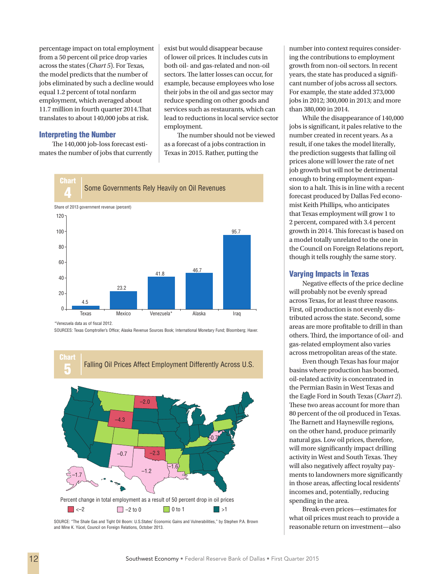percentage impact on total employment from a 50 percent oil price drop varies across the states (*Chart 5*). For Texas, the model predicts that the number of jobs eliminated by such a decline would equal 1.2 percent of total nonfarm employment, which averaged about 11.7 million in fourth quarter 2014.That translates to about 140,000 jobs at risk.

## Interpreting the Number

The 140,000 job-loss forecast estimates the number of jobs that currently exist but would disappear because of lower oil prices. It includes cuts in both oil- and gas-related and non-oil sectors. The latter losses can occur, for example, because employees who lose their jobs in the oil and gas sector may reduce spending on other goods and services such as restaurants, which can lead to reductions in local service sector employment.

The number should not be viewed as a forecast of a jobs contraction in Texas in 2015. Rather, putting the



\*Venezuela data as of fiscal 2012.

SOURCES: Texas Comptroller's Office; Alaska Revenue Sources Book; International Monetary Fund; Bloomberg; Haver.



SOURCE: "The Shale Gas and Tight Oil Boom: U.S.States' Economic Gains and Vulnerabilities," by Stephen P.A. Brown and Mine K. Yücel, Council on Foreign Relations, October 2013.

number into context requires considering the contributions to employment growth from non-oil sectors. In recent years, the state has produced a significant number of jobs across all sectors. For example, the state added 373,000 jobs in 2012; 300,000 in 2013; and more than 380,000 in 2014.

While the disappearance of 140,000 jobs is significant, it pales relative to the number created in recent years. As a result, if one takes the model literally, the prediction suggests that falling oil prices alone will lower the rate of net job growth but will not be detrimental enough to bring employment expansion to a halt. This is in line with a recent forecast produced by Dallas Fed economist Keith Phillips, who anticipates that Texas employment will grow 1 to 2 percent, compared with 3.4 percent growth in 2014. This forecast is based on a model totally unrelated to the one in the Council on Foreign Relations report, though it tells roughly the same story.

## Varying Impacts in Texas

Negative effects of the price decline will probably not be evenly spread across Texas, for at least three reasons. First, oil production is not evenly distributed across the state. Second, some areas are more profitable to drill in than others. Third, the importance of oil- and gas-related employment also varies across metropolitan areas of the state.

Even though Texas has four major basins where production has boomed, oil-related activity is concentrated in the Permian Basin in West Texas and the Eagle Ford in South Texas (*Chart 2*). These two areas account for more than 80 percent of the oil produced in Texas. The Barnett and Haynesville regions, on the other hand, produce primarily natural gas. Low oil prices, therefore, will more significantly impact drilling activity in West and South Texas. They will also negatively affect royalty payments to landowners more significantly in those areas, affecting local residents' incomes and, potentially, reducing spending in the area.

Break-even prices—estimates for what oil prices must reach to provide a reasonable return on investment—also